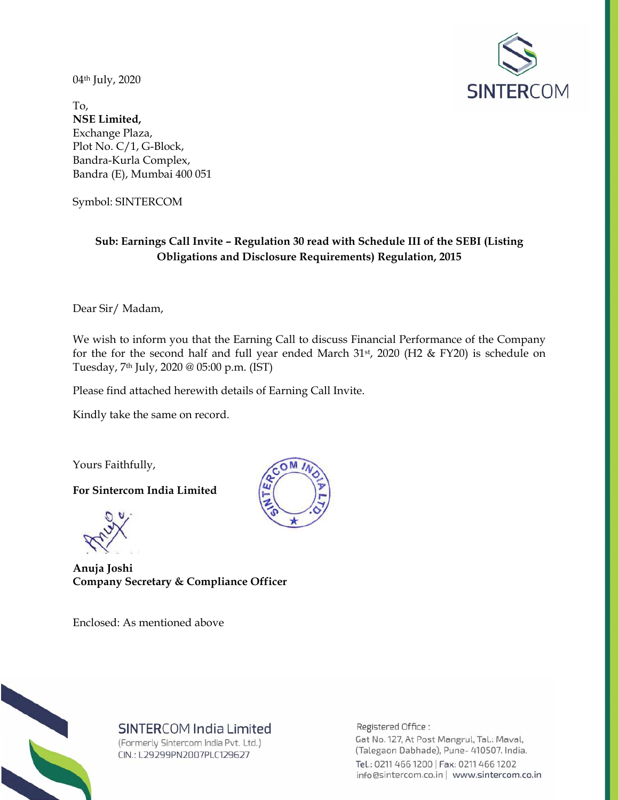04th July, 2020



To, **NSE Limited,**  Exchange Plaza, Plot No. C/1, G-Block, Bandra-Kurla Complex, Bandra (E), Mumbai 400 051

Symbol: SINTERCOM

#### **Sub: Earnings Call Invite – Regulation 30 read with Schedule III of the SEBI (Listing Obligations and Disclosure Requirements) Regulation, 2015**

Dear Sir/ Madam,

We wish to inform you that the Earning Call to discuss Financial Performance of the Company for the for the second half and full year ended March  $31st$ ,  $2020$  (H2 & FY20) is schedule on Tuesday, 7th July, 2020 @ 05:00 p.m. (IST)

Please find attached herewith details of Earning Call Invite.

Kindly take the same on record.

Yours Faithfully,

**For Sintercom India Limited** 

**Anuja Joshi Company Secretary & Compliance Officer** 

Enclosed: As mentioned above





## SINTERCOM India Limited

(Formerly Sintercom India Pvt. Ltd.) CIN.: L29299PN2007PLC129627

Registered Office: Gat No. 127, At Post Mangrul, Tal.: Maval, (Talegaon Dabhade), Pune- 410507. India. Tel.: 0211 466 1200 | Fax: 0211 466 1202 info@sintercom.co.in | www.sintercom.co.in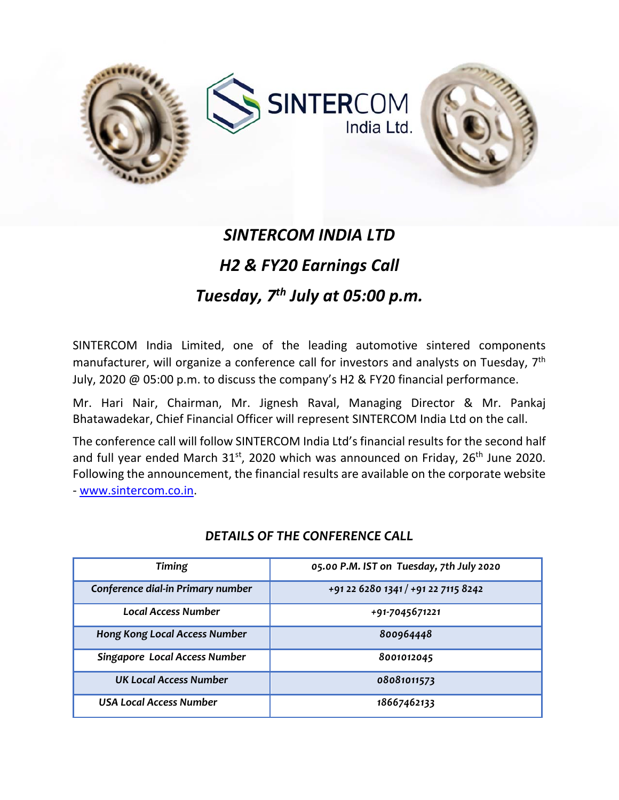



# *SINTERCOM INDIA LTD H2 & FY20 Earnings Call Tuesday, 7th July at 05:00 p.m.*

SINTERCOM India Limited, one of the leading automotive sintered components manufacturer, will organize a conference call for investors and analysts on Tuesday, 7<sup>th</sup> July, 2020 @ 05:00 p.m. to discuss the company's H2 & FY20 financial performance.

Mr. Hari Nair, Chairman, Mr. Jignesh Raval, Managing Director & Mr. Pankaj Bhatawadekar, Chief Financial Officer will represent SINTERCOM India Ltd on the call.

The conference call will follow SINTERCOM India Ltd's financial results for the second half and full year ended March  $31^{st}$ , 2020 which was announced on Friday, 26<sup>th</sup> June 2020. Following the announcement, the financial results are available on the corporate website

‐ www.sintercom.co.in.

| <b>Timing</b>                        | 05.00 P.M. IST on Tuesday, 7th July 2020 |
|--------------------------------------|------------------------------------------|
| Conference dial-in Primary number    | +91 22 6280 1341 / +91 22 7115 8242      |
| Local Access Number                  | +91-7045671221                           |
| <b>Hong Kong Local Access Number</b> | 800964448                                |
| <b>Singapore Local Access Number</b> | 8001012045                               |
| UK Local Access Number               | 08081011573                              |
| USA Local Access Number              | 18667462133                              |

### *DETAILS OF THE CONFERENCE CALL*